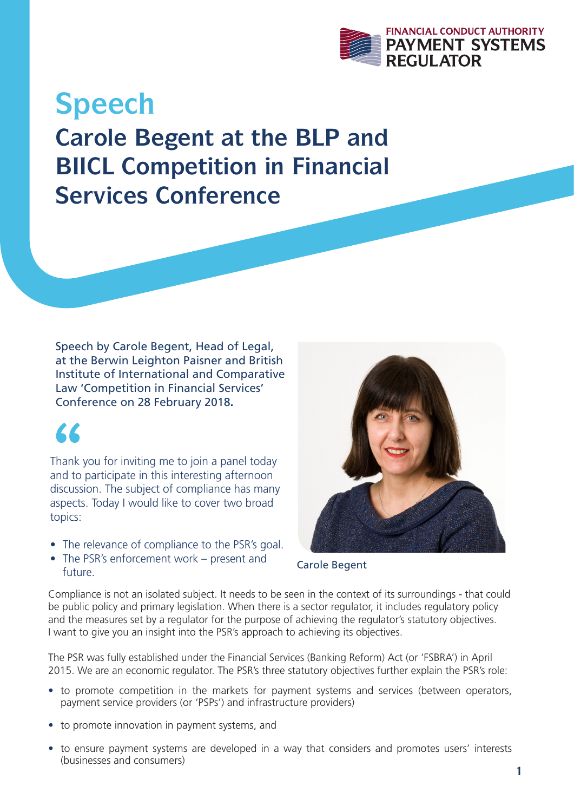

**Speech Carole Begent at the BLP and BIICL Competition in Financial Services Conference**

Speech by Carole Begent, Head of Legal, at the Berwin Leighton Paisner and British Institute of International and Comparative Law 'Competition in Financial Services' Conference on 28 February 2018**.**

**66**<br>Thank<br>and to Thank you for inviting me to join a panel today and to participate in this interesting afternoon discussion. The subject of compliance has many aspects. Today I would like to cover two broad topics:

- The relevance of compliance to the PSR's goal.
- The PSR's enforcement work present and future.



Carole Begent

Compliance is not an isolated subject. It needs to be seen in the context of its surroundings - that could be public policy and primary legislation. When there is a sector regulator, it includes regulatory policy and the measures set by a regulator for the purpose of achieving the regulator's statutory objectives. I want to give you an insight into the PSR's approach to achieving its objectives.

The PSR was fully established under the Financial Services (Banking Reform) Act (or 'FSBRA') in April 2015. We are an economic regulator. The PSR's three statutory objectives further explain the PSR's role:

- to promote competition in the markets for payment systems and services (between operators, payment service providers (or 'PSPs') and infrastructure providers)
- to promote innovation in payment systems, and
- to ensure payment systems are developed in a way that considers and promotes users' interests (businesses and consumers)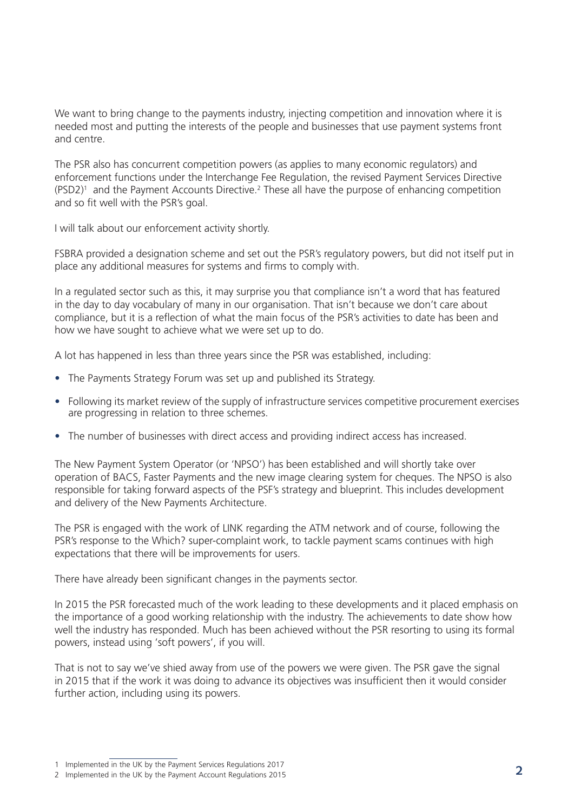We want to bring change to the payments industry, injecting competition and innovation where it is needed most and putting the interests of the people and businesses that use payment systems front and centre.

The PSR also has concurrent competition powers (as applies to many economic regulators) and enforcement functions under the Interchange Fee Regulation, the revised Payment Services Directive  $(PSD2)^1$  and the Payment Accounts Directive.<sup>2</sup> These all have the purpose of enhancing competition and so fit well with the PSR's goal.

I will talk about our enforcement activity shortly.

FSBRA provided a designation scheme and set out the PSR's regulatory powers, but did not itself put in place any additional measures for systems and firms to comply with.

In a regulated sector such as this, it may surprise you that compliance isn't a word that has featured in the day to day vocabulary of many in our organisation. That isn't because we don't care about compliance, but it is a reflection of what the main focus of the PSR's activities to date has been and how we have sought to achieve what we were set up to do.

A lot has happened in less than three years since the PSR was established, including:

- The Payments Strategy Forum was set up and published its Strategy.
- Following its market review of the supply of infrastructure services competitive procurement exercises are progressing in relation to three schemes.
- The number of businesses with direct access and providing indirect access has increased.

The New Payment System Operator (or 'NPSO') has been established and will shortly take over operation of BACS, Faster Payments and the new image clearing system for cheques. The NPSO is also responsible for taking forward aspects of the PSF's strategy and blueprint. This includes development and delivery of the New Payments Architecture.

The PSR is engaged with the work of LINK regarding the ATM network and of course, following the PSR's response to the Which? super-complaint work, to tackle payment scams continues with high expectations that there will be improvements for users.

There have already been significant changes in the payments sector.

In 2015 the PSR forecasted much of the work leading to these developments and it placed emphasis on the importance of a good working relationship with the industry. The achievements to date show how well the industry has responded. Much has been achieved without the PSR resorting to using its formal powers, instead using 'soft powers', if you will.

That is not to say we've shied away from use of the powers we were given. The PSR gave the signal in 2015 that if the work it was doing to advance its objectives was insufficient then it would consider further action, including using its powers.

<sup>1</sup> Implemented in the UK by the Payment Services Regulations 2017

<sup>2</sup> Implemented in the OK by the Payment Services Regulations 2017<br>2 Implemented in the UK by the Payment Account Regulations 2015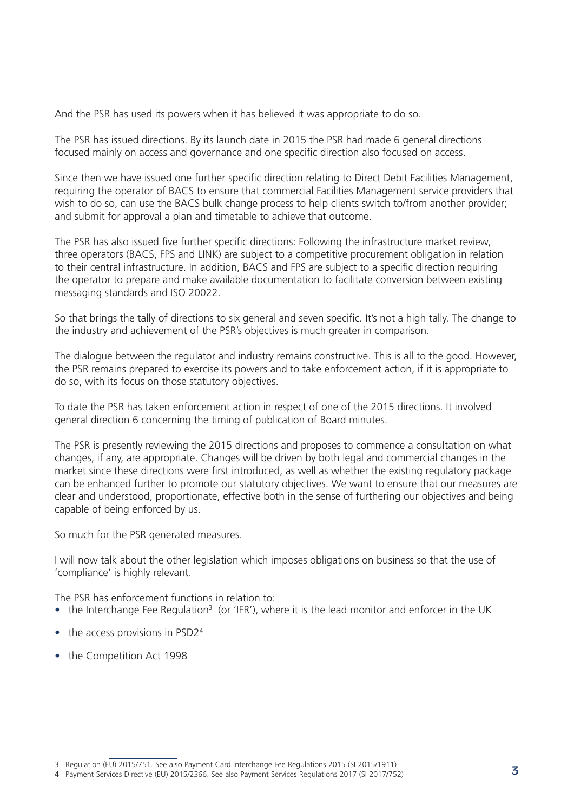And the PSR has used its powers when it has believed it was appropriate to do so.

The PSR has issued directions. By its launch date in 2015 the PSR had made 6 general directions focused mainly on access and governance and one specific direction also focused on access.

Since then we have issued one further specific direction relating to Direct Debit Facilities Management, requiring the operator of BACS to ensure that commercial Facilities Management service providers that wish to do so, can use the BACS bulk change process to help clients switch to/from another provider; and submit for approval a plan and timetable to achieve that outcome.

The PSR has also issued five further specific directions: Following the infrastructure market review, three operators (BACS, FPS and LINK) are subject to a competitive procurement obligation in relation to their central infrastructure. In addition, BACS and FPS are subject to a specific direction requiring the operator to prepare and make available documentation to facilitate conversion between existing messaging standards and ISO 20022.

So that brings the tally of directions to six general and seven specific. It's not a high tally. The change to the industry and achievement of the PSR's objectives is much greater in comparison.

The dialogue between the regulator and industry remains constructive. This is all to the good. However, the PSR remains prepared to exercise its powers and to take enforcement action, if it is appropriate to do so, with its focus on those statutory objectives.

To date the PSR has taken enforcement action in respect of one of the 2015 directions. It involved general direction 6 concerning the timing of publication of Board minutes.

The PSR is presently reviewing the 2015 directions and proposes to commence a consultation on what changes, if any, are appropriate. Changes will be driven by both legal and commercial changes in the market since these directions were first introduced, as well as whether the existing regulatory package can be enhanced further to promote our statutory objectives. We want to ensure that our measures are clear and understood, proportionate, effective both in the sense of furthering our objectives and being capable of being enforced by us.

So much for the PSR generated measures.

I will now talk about the other legislation which imposes obligations on business so that the use of 'compliance' is highly relevant.

The PSR has enforcement functions in relation to:

- the Interchange Fee Regulation<sup>3</sup> (or 'IFR'), where it is the lead monitor and enforcer in the UK
- $\bullet$  the access provisions in PSD2<sup>4</sup>
- the Competition Act 1998

<sup>3</sup> Regulation (EU) 2015/751. See also Payment Card Interchange Fee Regulations 2015 (SI 2015/1911)

<sup>4</sup> Payment Services Directive (EU) 2015/2366. See also Payment Services Regulations 2017 (SI 2017/752) **3**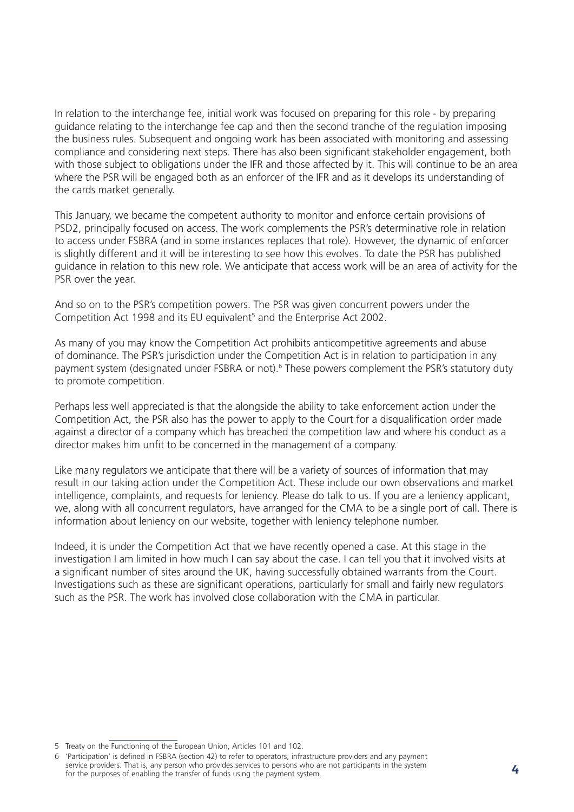In relation to the interchange fee, initial work was focused on preparing for this role - by preparing guidance relating to the interchange fee cap and then the second tranche of the regulation imposing the business rules. Subsequent and ongoing work has been associated with monitoring and assessing compliance and considering next steps. There has also been significant stakeholder engagement, both with those subject to obligations under the IFR and those affected by it. This will continue to be an area where the PSR will be engaged both as an enforcer of the IFR and as it develops its understanding of the cards market generally.

This January, we became the competent authority to monitor and enforce certain provisions of PSD2, principally focused on access. The work complements the PSR's determinative role in relation to access under FSBRA (and in some instances replaces that role). However, the dynamic of enforcer is slightly different and it will be interesting to see how this evolves. To date the PSR has published guidance in relation to this new role. We anticipate that access work will be an area of activity for the PSR over the year.

And so on to the PSR's competition powers. The PSR was given concurrent powers under the Competition Act 1998 and its EU equivalent<sup>5</sup> and the Enterprise Act 2002.

As many of you may know the Competition Act prohibits anticompetitive agreements and abuse of dominance. The PSR's jurisdiction under the Competition Act is in relation to participation in any payment system (designated under FSBRA or not).<sup>6</sup> These powers complement the PSR's statutory duty to promote competition.

Perhaps less well appreciated is that the alongside the ability to take enforcement action under the Competition Act, the PSR also has the power to apply to the Court for a disqualification order made against a director of a company which has breached the competition law and where his conduct as a director makes him unfit to be concerned in the management of a company.

Like many regulators we anticipate that there will be a variety of sources of information that may result in our taking action under the Competition Act. These include our own observations and market intelligence, complaints, and requests for leniency. Please do talk to us. If you are a leniency applicant, we, along with all concurrent regulators, have arranged for the CMA to be a single port of call. There is information about leniency on our website, together with leniency telephone number.

Indeed, it is under the Competition Act that we have recently opened a case. At this stage in the investigation I am limited in how much I can say about the case. I can tell you that it involved visits at a significant number of sites around the UK, having successfully obtained warrants from the Court. Investigations such as these are significant operations, particularly for small and fairly new regulators such as the PSR. The work has involved close collaboration with the CMA in particular.

<sup>5</sup> Treaty on the Functioning of the European Union, Articles 101 and 102.

<sup>6</sup> 'Participation' is defined in FSBRA (section 42) to refer to operators, infrastructure providers and any payment service providers. That is, any person who provides services to persons who are not participants in the system service providers. That is, any person who provides services to persons who are not participants in the system.<br>For the purposes of enabling the transfer of funds using the payment system.